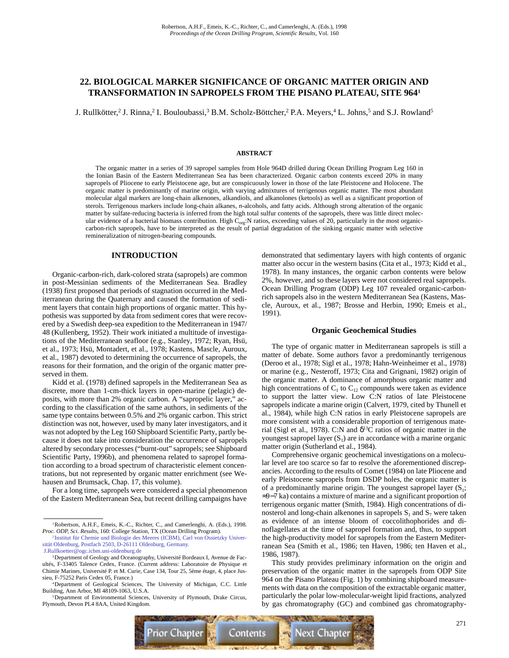# **22. BIOLOGICAL MARKER SIGNIFICANCE OF ORGANIC MATTER ORIGIN AND TRANSFORMATION IN SAPROPELS FROM THE PISANO PLATEAU, SITE 9641**

J. Rullkötter,<sup>2</sup> J. Rinna,<sup>2</sup> I. Bouloubassi,<sup>3</sup> B.M. Scholz-Böttcher,<sup>2</sup> P.A. Meyers,<sup>4</sup> L. Johns,<sup>5</sup> and S.J. Rowland<sup>5</sup>

#### **ABSTRACT**

The organic matter in a series of 39 sapropel samples from Hole 964D drilled during Ocean Drilling Program Leg 160 in the Ionian Basin of the Eastern Mediterranean Sea has been characterized. Organic carbon contents exceed 20% in many sapropels of Pliocene to early Pleistocene age, but are conspicuously lower in those of the late Pleistocene and Holocene. The organic matter is predominantly of marine origin, with varying admixtures of terrigenous organic matter. The most abundant molecular algal markers are long-chain alkenones, alkandiols, and alkanolones (ketools) as well as a significant proportion of sterols. Terrigenous markers include long-chain alkanes, *n-*alcohols, and fatty acids. Although strong alteration of the organic matter by sulfate-reducing bacteria is inferred from the high total sulfur contents of the sapropels, there was little direct molecular evidence of a bacterial biomass contribution. High  $\tilde{C}_{org}$ :N ratios, exceeding values of 20, particularly in the most organiccarbon-rich sapropels, have to be interpreted as the result of partial degradation of the sinking organic matter with selective remineralization of nitrogen-bearing compounds.

## **INTRODUCTION**

Organic-carbon-rich, dark-colored strata (sapropels) are common in post-Messinian sediments of the Mediterranean Sea. Bradley (1938) first proposed that periods of stagnation occurred in the Mediterranean during the Quaternary and caused the formation of sediment layers that contain high proportions of organic matter. This hypothesis was supported by data from sediment cores that were recovered by a Swedish deep-sea expedition to the Mediterranean in 1947/ 48 (Kullenberg, 1952). Their work initiated a multitude of investigations of the Mediterranean seafloor (e.g., Stanley, 1972; Ryan, Hsü, et al., 1973; Hsü, Montadert, et al., 1978; Kastens, Mascle, Auroux, et al., 1987) devoted to determining the occurrence of sapropels, the reasons for their formation, and the origin of the organic matter preserved in them.

Kidd et al. (1978) defined sapropels in the Mediterranean Sea as discrete, more than 1-cm-thick layers in open-marine (pelagic) deposits, with more than 2% organic carbon. A "sapropelic layer," according to the classification of the same authors, in sediments of the same type contains between 0.5% and 2% organic carbon. This strict distinction was not, however, used by many later investigators, and it was not adopted by the Leg 160 Shipboard Scientific Party, partly because it does not take into consideration the occurrence of sapropels altered by secondary processes ("burnt-out" sapropels; see Shipboard Scientific Party, 1996b), and phenomena related to sapropel formation according to a broad spectrum of characteristic element concentrations, but not represented by organic matter enrichment (see Wehausen and Brumsack, Chap. 17, this volume).

For a long time, sapropels were considered a special phenomenon of the Eastern Mediterranean Sea, but recent drilling campaigns have demonstrated that sedimentary layers with high contents of organic matter also occur in the western basins (Cita et al., 1973; Kidd et al., 1978). In many instances, the organic carbon contents were below 2%, however, and so these layers were not considered real sapropels. Ocean Drilling Program (ODP) Leg 107 revealed organic-carbonrich sapropels also in the western Mediterranean Sea (Kastens, Mascle, Auroux, et al., 1987; Brosse and Herbin, 1990; Emeis et al., 1991).

#### **Organic Geochemical Studies**

The type of organic matter in Mediterranean sapropels is still a matter of debate. Some authors favor a predominantly terrigenous (Deroo et al., 1978; Sigl et al., 1978; Hahn-Weinheimer et al., 1978) or marine (e.g., Nesteroff, 1973; Cita and Grignani, 1982) origin of the organic matter. A dominance of amorphous organic matter and high concentrations of  $C_1$  to  $C_{12}$  compounds were taken as evidence to support the latter view. Low C:N ratios of late Pleistocene sapropels indicate a marine origin (Calvert, 1979, cited by Thunell et al., 1984), while high C:N ratios in early Pleistocene sapropels are more consistent with a considerable proportion of terrigenous material (Sigl et al., 1978). C:N and  $\delta^{13}$ C ratios of organic matter in the youngest sapropel layer  $(S_1)$  are in accordance with a marine organic matter origin (Sutherland et al., 1984).

Comprehensive organic geochemical investigations on a molecular level are too scarce so far to resolve the aforementioned discrepancies. According to the results of Comet (1984) on late Pliocene and early Pleistocene sapropels from DSDP holes, the organic matter is of a predominantly marine origin. The youngest sapropel layer  $(S_1;$ ≈9−7 ka) contains a mixture of marine and a significant proportion of terrigenous organic matter (Smith, 1984). High concentrations of dinosterol and long-chain alkenones in sapropels  $S_1$  and  $S_7$  were taken as evidence of an intense bloom of coccolithophorides and dinoflagellates at the time of sapropel formation and, thus, to support the high-productivity model for sapropels from the Eastern Mediterranean Sea (Smith et al., 1986; ten Haven, 1986; ten Haven et al., 1986, 1987).

This study provides preliminary information on the origin and preservation of the organic matter in the sapropels from ODP Site 964 on the Pisano Plateau (Fig. 1) by combining shipboard measurements with data on the composition of the extractable organic matter, particularly the polar low-molecular-weight lipid fractions, analyzed by gas chromatography (GC) and combined gas chromatography-



<sup>&</sup>lt;sup>1</sup>Robertson, A.H.F., Emeis, K.-C., Richter, C., and Camerlenghi, A. (Eds.), 1998. *Proc. ODP, Sci. Results,* 160: College Station, TX (Ocean Drilling Program).

<sup>2</sup> [Institut für Chemie und Biologie des Meeres \(ICBM\), Carl von Ossietzky Univer](mailto:J.Rullkoetter@ogc.icbm.uni-oldenburg.de)sität Oldenburg, Postfach 2503, D-26111 Oldenburg, Germany. J.Rullkoetter@ogc.icbm.uni-oldenburg.de

<sup>&</sup>lt;sup>3</sup>Department of Geology and Oceanography, Université Bordeaux I, Avenue de Facultés, F-33405 Talence Cedex, France. (Current address: Laboratoire de Physique et Chimie Marines, Université P. et M. Curie, Case 134, Tour 25, 5ème étage, 4, place Jus-

sieu, F-75252 Paris Cedex 05, France.) 4Department of Geological Sciences, The University of Michigan, C.C. Little Building, Ann Arbor, MI 48109-1063, U.S.A.

<sup>5</sup>Department of Environmental Sciences, University of Plymouth, Drake Circus, Plymouth, Devon PL4 8AA, United Kingdom.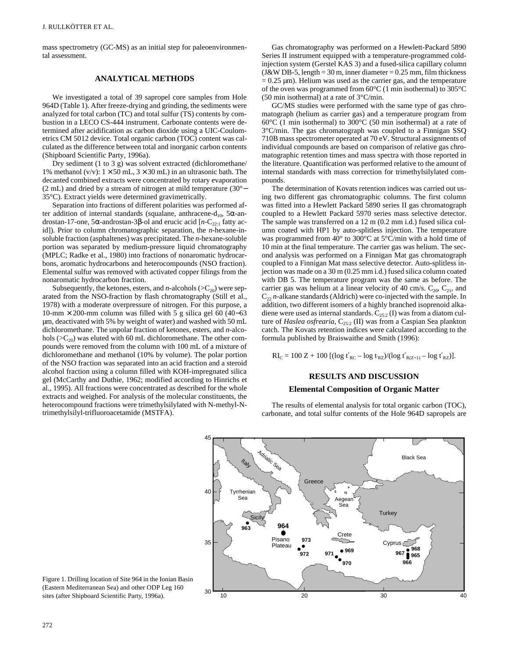mass spectrometry (GC-MS) as an initial step for paleoenvironmental assessment.

# **ANALYTICAL METHODS**

We investigated a total of 39 sapropel core samples from Hole 964D (Table 1). After freeze-drying and grinding, the sediments were analyzed for total carbon (TC) and total sulfur (TS) contents by combustion in a LECO CS-444 instrument. Carbonate contents were determined after acidification as carbon dioxide using a UIC-Coulometrics CM 5012 device. Total organic carbon (TOC) content was calculated as the difference between total and inorganic carbon contents (Shipboard Scientific Party, 1996a).

Dry sediment (1 to 3 g) was solvent extracted (dichloromethane/ 1% methanol (v/v):  $1 \times 50$  mL,  $3 \times 30$  mL) in an ultrasonic bath. The decanted combined extracts were concentrated by rotary evaporation (2 mL) and dried by a stream of nitrogen at mild temperature (30°− 35°C). Extract yields were determined gravimetrically.

Separation into fractions of different polarities was performed after addition of internal standards (squalane, anthracene-d<sub>10</sub>, 5 $\alpha$ -androstan-17-one, 5α-androstan-3β-ol and erucic acid [*n*-C<sub>22:1</sub> fatty acid]). Prior to column chromatographic separation, the *n*-hexane-insoluble fraction (asphaltenes) was precipitated. The *n*-hexane-soluble portion was separated by medium-pressure liquid chromatography (MPLC; Radke et al., 1980) into fractions of nonaromatic hydrocarbons, aromatic hydrocarbons and heterocompounds (NSO fraction). Elemental sulfur was removed with activated copper filings from the nonaromatic hydrocarbon fraction.

Subsequently, the ketones, esters, and *n*-alcohols ( $>C_{20}$ ) were separated from the NSO-fraction by flash chromatography (Still et al., 1978) with a moderate overpressure of nitrogen. For this purpose, a 10-mm × 200-mm column was filled with 5 g silica gel 60 (40−63 µm, deactivated with 5% by weight of water) and washed with 50 mL dichloromethane. The unpolar fraction of ketones, esters, and *n*-alcohols ( $>C_{20}$ ) was eluted with 60 mL dichloromethane. The other compounds were removed from the column with 100 mL of a mixture of dichloromethane and methanol (10% by volume). The polar portion of the NSO fraction was separated into an acid fraction and a steroid alcohol fraction using a column filled with KOH-impregnated silica gel (McCarthy and Duthie, 1962; modified according to Hinrichs et al., 1995). All fractions were concentrated as described for the whole extracts and weighed. For analysis of the molecular constituents, the heterocompound fractions were trimethylsilylated with N-methyl-Ntrimethylsilyl-trifluoroacetamide (MSTFA).

Gas chromatography was performed on a Hewlett-Packard 5890 Series II instrument equipped with a temperature-programmed coldinjection system (Gerstel KAS 3) and a fused-silica capillary column  $(J&W$  DB-5, length = 30 m, inner diameter = 0.25 mm, film thickness  $= 0.25$   $\mu$ m). Helium was used as the carrier gas, and the temperature of the oven was programmed from 60°C (1 min isothermal) to 305°C (50 min isothermal) at a rate of 3°C/min.

GC/MS studies were performed with the same type of gas chromatograph (helium as carrier gas) and a temperature program from 60°C (1 min isothermal) to 300°C (50 min isothermal) at a rate of 3°C/min. The gas chromatograph was coupled to a Finnigan SSQ 710B mass spectrometer operated at 70 eV. Structural assignments of individual compounds are based on comparison of relative gas chromatographic retention times and mass spectra with those reported in the literature. Quantification was performed relative to the amount of internal standards with mass correction for trimethylsilylated compounds.

The determination of Kovats retention indices was carried out using two different gas chromatographic columns. The first column was fitted into a Hewlett Packard 5890 series II gas chromatograph coupled to a Hewlett Packard 5970 series mass selective detector. The sample was transferred on a 12 m (0.2 mm i.d.) fused silica column coated with HP1 by auto-splitless injection. The temperature was programmed from 40° to 300°C at 5°C/min with a hold time of 10 min at the final temperature. The carrier gas was helium. The second analysis was performed on a Finnigan Mat gas chromatograph coupled to a Finnigan Mat mass selective detector. Auto-splitless injection was made on a 30 m (0.25 mm i.d.) fused silica column coated with DB 5. The temperature program was the same as before. The carrier gas was helium at a linear velocity of 40 cm/s.  $C_{20}$ ,  $C_{21}$ , and  $C<sub>22</sub> n$ -alkane standards (Aldrich) were co-injected with the sample. In addition, two different isomers of a highly branched isoprenoid alkadiene were used as internal standards.  $C_{25:2}$  (I) was from a diatom culture of *Haslea osfrearia*, C<sub>25:2</sub> (II) was from a Caspian Sea plankton catch. The Kovats retention indices were calculated according to the formula published by Braiswaithe and Smith (1996):

 $RI_C = 100 Z + 100 [(log t'_{RC} - log t_{RZ})/(log t'_{R(Z+1)} - log t'_{RZ})].$ 

# **RESULTS AND DISCUSSION**

# **Elemental Composition of Organic Matter**

The results of elemental analysis for total organic carbon (TOC), carbonate, and total sulfur contents of the Hole 964D sapropels are



Figure 1. Drilling location of Site 964 in the Ionian Basin (Eastern Mediterranean Sea) and other ODP Leg 160 sites (after Shipboard Scientific Party, 1996a).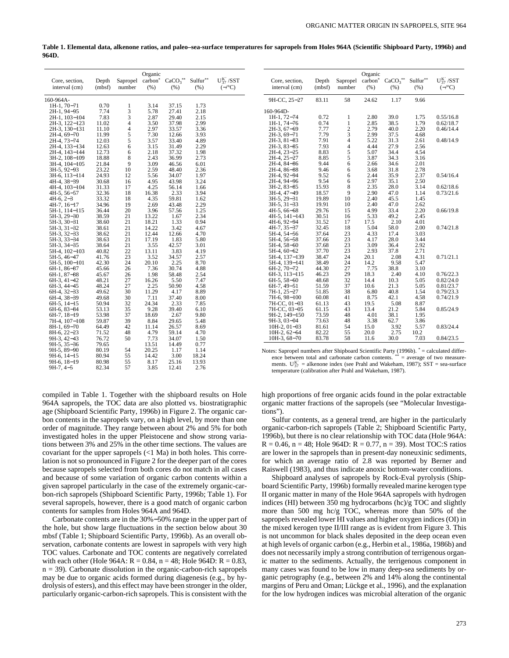**Table 1. Elemental data, alkenone ratios, and paleo–sea-surface temperatures for sapropels from Holes 964A (Scientific Shipboard Party, 1996b) and 964D.**

|                              |                |                | Organic             |               |                |                   |
|------------------------------|----------------|----------------|---------------------|---------------|----------------|-------------------|
| Core, section,               | Depth          | Sapropel       | carbon <sup>*</sup> | $CaCO3**$     | Sulfur**       | $U_{37}^{K'}/SST$ |
| interval (cm)                | (mbsf)         | number         | (% )                | (% )          | (% )           | $(-/^{\circ}C)$   |
| 160-964A-                    |                |                |                     |               |                |                   |
| $1H-1$ , 70-71               | 0.70           | 1              | 3.14                | 37.15         | 1.73           |                   |
| 2H-1, 94-95                  | 7.74           | 3              | 5.78                | 27.41         | 2.18           |                   |
| 2H-1, 103-104                | 7.83           | 3              | 2.87                | 29.40         | 2.15           |                   |
| 2H-3, 122-123                | 11.02          | $\overline{4}$ | 3.50                | 37.98         | 2.99           |                   |
| 2H-3, 130-131                | 11.10          | $\overline{4}$ | 2.97                | 33.57         | 3.36           |                   |
| 2H-4, 69-70                  | 11.99          | $\frac{5}{5}$  | 7.30                | 12.66         | 3.93           |                   |
| 2H-4, 73–74                  | 12.03          |                | 3.57                | 33.40         | 4.89           |                   |
| 2H-4, 133-134                | 12.63          | 6              | 3.15                | 31.49         | 2.29           |                   |
| 2H-4, 143-144                | 12.73          | 6              | 2.18                | 37.32         | 1.98           |                   |
| 3H-2, 108-109                | 18.88          | 8              | 2.43                | 36.99         | 2.73           |                   |
| 3H-4, 104–105                | 21.84          | 9              | 3.09                | 46.56         | 6.01           |                   |
| 3H-5, 92-93                  | 23.22          | 10             | 2.59                | 48.40         | 2.36           |                   |
| 3H-6, 113-114                | 24.93          | 12             | 5.56                | 34.07         | 1.97           |                   |
| 4H-4, 38-39                  | 30.68          | 16             | 4.95                | 43.98         | 3.24           |                   |
| 4H-4, 103-104                | 31.33<br>32.36 | 17<br>18       | 4.25<br>16.38       | 56.14<br>2.33 | 1.66<br>3.94   |                   |
| $4H-5, 56-57$<br>$4H-6, 2-3$ | 33.32          | 18             | 4.35                | 59.81         | 1.62           |                   |
| 4H-7, 16-17                  | 34.96          | 19             | 2.69                | 43.48         | 2.29           |                   |
| 5H-1, 114–115                | 36.44          | 20             | 3.96                | 57.56         | 1.25           |                   |
| 5H-3, 29-30                  | 38.59          | 21             | 13.22               | 1.67          | 2.34           |                   |
| 5H-3, 30-31                  | 38.60          | 21             | 18.21               | 1.33          | 0.94           |                   |
| $5H-3, 31-32$                | 38.61          | 21             | 14.22               | 3.42          | 4.67           |                   |
| 5H-3, 32-33                  | 38.62          | 21             | 12.44               | 12.66         | 4.70           |                   |
| 5H-3, 33-34                  | 38.63          | 21             | 17.19               | 1.83          | 5.80           |                   |
| 5H-3, 34-35                  | 38.64          | 21             | 3.55                | 42.57         | 3.01           |                   |
| 5H-4, 102-103                | 40.82          | 22             | 13.11               | 3.83          | 4.19           |                   |
| 5H-5, 46–47                  | 41.76          | 23             | 3.52                | 34.57         | 2.57           |                   |
| 5H-5, 100-101                | 42.30          | 24             | 20.10               | 2.25          | 8.70           |                   |
| 6H-1, 86–87                  | 45.66          | 26             | 7.36                | 30.74         | 4.88           |                   |
| 6H-1, 87-88                  | 45.67          | 26             | 1.98                | 58.48         | 2.54           |                   |
| 6H-3, 41–42                  | 48.21          | 27             | 16.26               | 5.50          | 7.47           |                   |
| 6H-3, 44-45                  | 48.24          | 27             | 2.25                | 50.90         | 4.58           |                   |
| 6H-4, 32-33                  | 49.62          | 30             | 11.29               | 4.17          | 8.89           |                   |
| 6H-4, 38-39                  | 49.68          | 30             | 7.11                | 37.40         | 8.00           |                   |
| $6H-5$ , $14-15$             | 50.94          | 32             | 24.34               | 2.33          | 7.85           |                   |
| 6H-6, 83–84                  | 53.13          | 35             | 9.28                | 39.40         | 6.10           |                   |
| 6H-7, 18–19                  | 53.98          | 37             | 18.69               | 2.67          | 9.80           |                   |
| 7H-4, 107–108                | 59.87          | 39             | 8.84                | 29.65         | 5.48           |                   |
| 8H-1, 69–70                  | 64.49          | 42             | 11.14               | 26.57         | 8.69           |                   |
| 8H-6, 22-23                  | 71.52          | 48             | 4.79                | 59.14         | 4.70           |                   |
| 9H-3, 42-43                  | 76.72          | 50             | 7.73                | 34.07         | 1.50           |                   |
| $9H-5, 35-36$                | 79.65          |                | 13.51               | 14.49         | 0.77           |                   |
| 9H-5, 89-90                  | 80.19          | 54             | 20.25               | 1.17          | 1.14           |                   |
| $9H-6$ , $14-15$             | 80.94<br>80.98 | 55<br>55       | 14.42<br>8.17       | 3.00<br>25.16 | 18.24<br>13.93 |                   |
| 9H-6, 18–19<br>$9H-7, 4-5$   | 82.34          | 57             | 3.85                | 12.41         | 2.76           |                   |
|                              |                |                |                     |               |                |                   |

compiled in Table 1. Together with the shipboard results on Hole 964A sapropels, the TOC data are also plotted vs. biostratigraphic age (Shipboard Scientific Party, 1996b) in Figure 2. The organic carbon contents in the sapropels vary, on a high level, by more than one order of magnitude. They range between about 2% and 5% for both investigated holes in the upper Pleistocene and show strong variations between 3% and 25% in the other time sections. The values are covariant for the upper sapropels (<1 Ma) in both holes. This correlation is not so pronounced in Figure 2 for the deeper part of the cores because sapropels selected from both cores do not match in all cases and because of some variation of organic carbon contents within a given sapropel particularly in the case of the extremely organic-carbon-rich sapropels (Shipboard Scientific Party, 1996b; Table 1). For several sapropels, however, there is a good match of organic carbon contents for samples from Holes 964A and 964D.

Carbonate contents are in the 30%−50% range in the upper part of the hole, but show large fluctuations in the section below about 30 mbsf (Table 1; Shipboard Scientific Party, 1996b). As an overall observation, carbonate contents are lowest in sapropels with very high TOC values. Carbonate and TOC contents are negatively correlated with each other (Hole 964A:  $R = 0.84$ ,  $n = 48$ ; Hole 964D:  $R = 0.83$ ,  $n = 39$ ). Carbonate dissolution in the organic-carbon-rich sapropels may be due to organic acids formed during diagenesis (e.g., by hydrolysis of esters), and this effect may have been stronger in the older, particularly organic-carbon-rich sapropels. This is consistent with the

| Core, section,<br>interval (cm) | Depth<br>(mbsf) | Sapropel<br>number | Organic<br>carbon <sup>*</sup><br>(% ) | $CaCO3**$<br>(% ) | Sulfur**<br>(% ) | $U_{37}^{K'}$ /SST<br>$(-/^{\circ}C)$ |
|---------------------------------|-----------------|--------------------|----------------------------------------|-------------------|------------------|---------------------------------------|
| 9H-CC, 25-27                    | 83.11           | 58                 | 24.62                                  | 1.17              | 9.66             |                                       |
| 160-964D-                       |                 |                    |                                        |                   |                  |                                       |
| 1H-1, 72-74                     | 0.72            | 1                  | 2.80                                   | 39.0              | 1.75             | 0.55/16.8                             |
| 1H-1, 74-76                     | 0.74            | $\mathbf{1}$       | 2.85                                   | 38.5              | 1.79             | 0.62/18.7                             |
| $2H-3, 67-69$                   | 7.77            | $\frac{2}{3}$      | 2.79                                   | 40.0              | 2.20             | 0.46/14.4                             |
| 2H-3, 69-71                     | 7.79            |                    | 2.99                                   | 37.5              | 4.68             |                                       |
| 2H-3, 81-83                     | 7.91            | $\overline{4}$     | 5.22                                   | 31.3              | 2.61             | 0.48/14.9                             |
| 2H-3, 83-85                     | 7.93            | $\overline{4}$     | 4.44                                   | 27.9              | 2.56             |                                       |
| 2H-4, 23-25                     | 8.83            | 5                  | 5.07                                   | 34.4              | 4.54             |                                       |
| 2H-4, 25-27                     | 8.85            | 5<br>6             | 3.87                                   | 34.3              | 3.16<br>2.01     |                                       |
| 2H-4, 84-86<br>2H-4, 86-88      | 9.44<br>9.46    | 6                  | 2.66<br>3.68                           | 34.6<br>31.8      | 2.78             |                                       |
| 2H-4, 92-94                     | 9.52            | 6                  | 2.44                                   | 35.9              | 2.37             | 0.54/16.4                             |
| 2H-4, 94-96                     | 9.54            | 6                  | 2.97                                   | 35.1              | 2.50             |                                       |
| $3H-2$ , $83-85$                | 15.93           | 8                  | 2.35                                   | 28.0              | 3.14             | 0.62/18.6                             |
| 3H-4, 47-49                     | 18.57           | 9                  | 2.90                                   | 47.0              | 1.14             | 0.73/21.6                             |
| 3H-5, 29-31                     | 19.89           | 10                 | 2.40                                   | 45.5              | 1.45             |                                       |
| $3H-5$ , $31-33$                | 19.91           | 10                 | 2.40                                   | 47.0              | 2.62             |                                       |
| $4H-5, 66-68$                   | 29.76           | 15                 | 4.99                                   | 33.4              | 2.20             | 0.66/19.8                             |
| $4H-5$ , $141-143$              | 30.51           | 16                 | 5.33                                   | 49.2              | 2.45             |                                       |
| 4H-6, 92-94                     | 31.52           | 17                 | 17.5                                   | 2.10              | 4.01             |                                       |
| 4H-7, 35-37                     | 32.45           | 18                 | 5.04                                   | 58.0              | 2.00             | 0.74/21.8                             |
| 5H-4, 54-56                     | 37.64           | 23                 | 4.33                                   | 17.4              | 3.03             |                                       |
| 5H-4, 56-58                     | 37.66           | 23                 | 4.17                                   | 28.0              | 3.44             |                                       |
| 5H-4, 58-60                     | 37.68           | 23                 | 3.09                                   | 36.4              | 2.92             |                                       |
| 5H-4, 60-62                     | 37.70           | 23                 | 2.93                                   | 37.8              | 2.71             |                                       |
| 5H-4, 137-139                   | 38.47           | 24                 | 20.1                                   | 2.08              | 4.31             | 0.71/21.1                             |
| 5H-4, 139-141                   | 38.49<br>44.30  | 24<br>27           | 14.2<br>7.75                           | 9.58<br>38.8      | 5.47<br>3.10     |                                       |
| 6H-2, 70-72<br>6H-3, 113-115    | 46.23           | 29                 | 18.3                                   | 2.40              | 4.10             | 0.76/22.3                             |
| $6H-5, 58-60$                   | 48.68           | 32                 | 14.4                                   | 10.3              | 5.05             | 0.82/24.0                             |
| 6H-7, 49-51                     | 51.59           | 37                 | 10.6                                   | 21.3              | 5.05             | 0.81/23.7                             |
| 7H-1, 25-27                     | 51.85           | 38                 | 6.80                                   | 40.8              | 1.54             | 0.79/23.3                             |
| 7H-6, 98-100                    | 60.08           | 41                 | 8.75                                   | 42.1              | 4.58             | 0.74/21.9                             |
| 7H-CC, 01-03                    | 61.13           | 43                 | 19.5                                   | 5.08              | 8.87             |                                       |
| 7H-CC, 03-05                    | 61.15           | 43                 | 13.4                                   | 21.2              | 5.84             | 0.85/24.9                             |
| 9H-2, 149-150                   | 73.59           | 48                 | 4.01                                   | 38.1              | 1.95             |                                       |
| 9H-3, 03-04                     | 73.63           | 48                 | 3.38                                   | 62.7              | 3.86             |                                       |
| $10H-2$ , $01-03$               | 81.61           | 54                 | 15.0                                   | 3.92              | 5.57             | 0.83/24.4                             |
| $10H-2, 62-64$                  | 82.22           | 55                 | 20.0                                   | 2.75              | 10.2             |                                       |
| 10H-3, 68-70                    | 83.78           | 58                 | 11.6                                   | 30.0              | 7.03             | 0.84/23.5                             |

Notes: Sapropel numbers after Shipboard Scientific Party (1996b). \* = calculated difference between total and carbonate carbon contents. \*\* = average of two measurements.  $U_{37}^{K'}$  = alkenone index (see Prahl and Wakeham, 1987); SST = sea-surface temperature (calibration after Prahl and Wakeham, 1987).

high proportions of free organic acids found in the polar extractable organic matter fractions of the sapropels (see "Molecular Investigations").

Sulfur contents, as a general trend, are higher in the particularly organic-carbon-rich sapropels (Table 2; Shipboard Scientific Party, 1996b), but there is no clear relationship with TOC data (Hole 964A:  $R = 0.46$ ,  $n = 48$ ; Hole 964D:  $R = 0.77$ ,  $n = 39$ ). Most TOC:S ratios are lower in the sapropels than in present-day noneuxinic sediments, for which an average ratio of 2.8 was reported by Berner and Raiswell (1983), and thus indicate anoxic bottom-water conditions.

Shipboard analyses of sapropels by Rock-Eval pyrolysis (Shipboard Scientific Party, 1996b) formally revealed marine kerogen type II organic matter in many of the Hole 964A sapropels with hydrogen indices (HI) between 350 mg hydrocarbons (hc)/g TOC and slightly more than 500 mg hc/g TOC, whereas more than 50% of the sapropels revealed lower HI values and higher oxygen indices (OI) in the mixed kerogen type II/III range as is evident from Figure 3. This is not uncommon for black shales deposited in the deep ocean even at high levels of organic carbon (e.g., Herbin et al., 1986a, 1986b) and does not necessarily imply a strong contribution of terrigenous organic matter to the sediments. Actually, the terrigenous component in many cases was found to be low in many deep-sea sediments by organic petrography (e.g., between 2% and 14% along the continental margins of Peru and Oman; Lückge et al., 1996), and the explanation for the low hydrogen indices was microbial alteration of the organic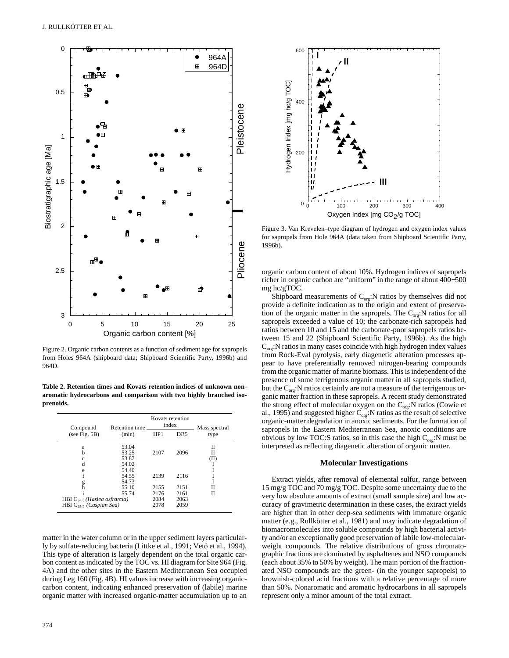

Figure 2. Organic carbon contents as a function of sediment age for sapropels from Holes 964A (shipboard data; Shipboard Scientific Party, 1996b) and 964D.

**Table 2. Retention times and Kovats retention indices of unknown nonaromatic hydrocarbons and comparison with two highly branched isoprenoids.**

| Compound                          | Retention time |      | Kovats retention<br>index | Mass spectral |  |
|-----------------------------------|----------------|------|---------------------------|---------------|--|
| (see Fig. 5B)                     | (min)          | HP1  | D <sub>B5</sub>           | type          |  |
| a                                 | 53.04          |      |                           | Н             |  |
| h                                 | 53.25          | 2107 | 2096                      | П             |  |
| с                                 | 53.87          |      |                           | (II)          |  |
| d                                 | 54.02          |      |                           |               |  |
| e                                 | 54.40          |      |                           |               |  |
|                                   | 54.55          | 2139 | 2116                      |               |  |
| g                                 | 54.73          |      |                           |               |  |
| h                                 | 55.10          | 2155 | 2151                      | Н             |  |
|                                   | 55.74          | 2176 | 2161                      | Н             |  |
| HBI $C_{25,2}$ (Haslea osfrancia) |                | 2084 | 2063                      |               |  |
| HBI $C_{25}$ , (Caspian Sea)      |                | 2078 | 2059                      |               |  |

matter in the water column or in the upper sediment layers particularly by sulfate-reducing bacteria (Littke et al., 1991; Vetö et al., 1994). This type of alteration is largely dependent on the total organic carbon content as indicated by the TOC vs. HI diagram for Site 964 (Fig. 4A) and the other sites in the Eastern Mediterranean Sea occupied during Leg 160 (Fig. 4B). HI values increase with increasing organiccarbon content, indicating enhanced preservation of (labile) marine organic matter with increased organic-matter accumulation up to an



Figure 3. Van Krevelen–type diagram of hydrogen and oxygen index values for sapropels from Hole 964A (data taken from Shipboard Scientific Party, 1996b).

organic carbon content of about 10%. Hydrogen indices of sapropels richer in organic carbon are "uniform" in the range of about 400−500 mg hc/gTOC.

Shipboard measurements of  $C_{org}:N$  ratios by themselves did not provide a definite indication as to the origin and extent of preservation of the organic matter in the sapropels. The  $C_{org}:$ N ratios for all sapropels exceeded a value of 10; the carbonate-rich sapropels had ratios between 10 and 15 and the carbonate-poor sapropels ratios between 15 and 22 (Shipboard Scientific Party, 1996b). As the high  $C_{\text{obs}}$ :N ratios in many cases coincide with high hydrogen index values from Rock-Eval pyrolysis, early diagenetic alteration processes appear to have preferentially removed nitrogen-bearing compounds from the organic matter of marine biomass. This is independent of the presence of some terrigenous organic matter in all sapropels studied, but the  $C_{\text{org}}$ :N ratios certainly are not a measure of the terrigenous organic matter fraction in these sapropels. A recent study demonstrated the strong effect of molecular oxygen on the  $C_{org}$ :N ratios (Cowie et al., 1995) and suggested higher  $C_{org}$ :N ratios as the result of selective organic-matter degradation in anoxic sediments. For the formation of sapropels in the Eastern Mediterranean Sea, anoxic conditions are obvious by low TOC:S ratios, so in this case the high  $C_{\alpha r\beta}$ :N must be interpreted as reflecting diagenetic alteration of organic matter.

#### **Molecular Investigations**

Extract yields, after removal of elemental sulfur, range between 15 mg/g TOC and 70 mg/g TOC. Despite some uncertainty due to the very low absolute amounts of extract (small sample size) and low accuracy of gravimetric determination in these cases, the extract yields are higher than in other deep-sea sediments with immature organic matter (e.g., Rullkötter et al., 1981) and may indicate degradation of biomacromolecules into soluble compounds by high bacterial activity and/or an exceptionally good preservation of labile low-molecularweight compounds. The relative distributions of gross chromatographic fractions are dominated by asphaltenes and NSO compounds (each about 35% to 50% by weight). The main portion of the fractionated NSO compounds are the green- (in the younger sapropels) to brownish-colored acid fractions with a relative percentage of more than 50%. Nonaromatic and aromatic hydrocarbons in all sapropels represent only a minor amount of the total extract.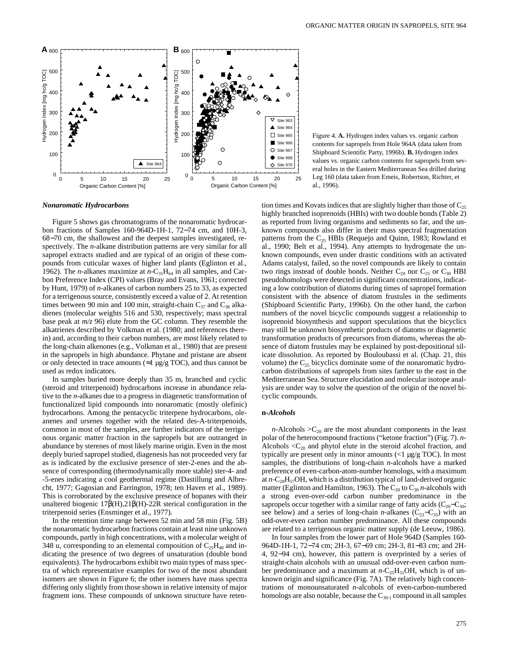

contents for sapropels from Hole 964A (data taken from Shipboard Scientific Party, 1996b). **B.** Hydrogen index values vs. organic carbon contents for sapropels from several holes in the Eastern Mediterranean Sea drilled during Leg 160 (data taken from Emeis, Robertson, Richter, et al., 1996).

Figure 4. **A.** Hydrogen index values vs. organic carbon

#### *Nonaromatic Hydrocarbons*

Figure 5 shows gas chromatograms of the nonaromatic hydrocarbon fractions of Samples 160-964D-1H-1, 72−74 cm, and 10H-3, 68−70 cm, the shallowest and the deepest samples investigated, respectively. The *n*-alkane distribution patterns are very similar for all sapropel extracts studied and are typical of an origin of these compounds from cuticular waxes of higher land plants (Eglinton et al., 1962). The *n*-alkanes maximize at  $n-C_{31}H_{64}$  in all samples, and Carbon Preference Index (CPI) values (Bray and Evans, 1961; corrected by Hunt, 1979) of *n*-alkanes of carbon numbers 25 to 33, as expected for a terrigenous source, consistently exceed a value of 2. At retention times between 90 min and 100 min, straight-chain  $C_{37}$  and  $C_{38}$  alkadienes (molecular weights 516 and 530, respectively; mass spectral base peak at *m/z* 96) elute from the GC column. They resemble the alkatrienes described by Volkman et al. (1980; and references therein) and, according to their carbon numbers, are most likely related to the long-chain alkenones (e.g., Volkman et al., 1980) that are present in the sapropels in high abundance. Phytane and pristane are absent or only detected in trace amounts ( $\approx$ 1 µg/g TOC), and thus cannot be used as redox indicators.

In samples buried more deeply than 35 m, branched and cyclic (steroid and triterpenoid) hydrocarbons increase in abundance relative to the *n*-alkanes due to a progress in diagenetic transformation of functionalized lipid compounds into nonaromatic (mostly olefinic) hydrocarbons. Among the pentacyclic triterpene hydrocarbons, oleanenes and ursenes together with the related des-A-triterpenoids, common in most of the samples, are further indicators of the terrigenous organic matter fraction in the sapropels but are outranged in abundance by sterenes of most likely marine origin. Even in the most deeply buried sapropel studied, diagenesis has not proceeded very far as is indicated by the exclusive presence of ster-2-enes and the absence of corresponding (thermodynamically more stable) ster-4- and -5-enes indicating a cool geothermal regime (Dastillung and Albrecht, 1977; Gagosian and Farrington, 1978; ten Haven et al., 1989). This is corroborated by the exclusive presence of hopanes with their unaltered biogenic 17β(H),21β(H)-22R sterical configuration in the triterpenoid series (Ensminger et al., 1977).

In the retention time range between 52 min and 58 min (Fig. 5B) the nonaromatic hydrocarbon fractions contain at least nine unknown compounds, partly in high concentrations, with a molecular weight of 348 u, corresponding to an elemental composition of  $C_{25}H_{48}$  and indicating the presence of two degrees of unsaturation (double bond equivalents). The hydrocarbons exhibit two main types of mass spectra of which representative examples for two of the most abundant isomers are shown in Figure 6; the other isomers have mass spectra differing only slightly from those shown in relative intensity of major fragment ions. These compounds of unknown structure have retention times and Kovats indices that are slightly higher than those of  $C_{25}$ highly branched isoprenoids (HBIs) with two double bonds (Table 2) as reported from living organisms and sediments so far, and the unknown compounds also differ in their mass spectral fragmentation patterns from the  $C_{25}$  HBIs (Requejo and Quinn, 1983; Rowland et al., 1990; Belt et al., 1994). Any attempts to hydrogenate the unknown compounds, even under drastic conditions with an activated Adams catalyst, failed, so the novel compounds are likely to contain two rings instead of double bonds. Neither  $C_{20}$  nor  $C_{25}$  or  $C_{30}$  HBI pseudohomologs were detected in significant concentrations, indicating a low contribution of diatoms during times of sapropel formation consistent with the absence of diatom frustules in the sediments (Shipboard Scientific Party, 1996b). On the other hand, the carbon numbers of the novel bicyclic compounds suggest a relationship to isoprenoid biosynthesis and support speculations that the bicyclics may still be unknown biosynthetic products of diatoms or diagenetic transformation products of precursors from diatoms, whereas the absence of diatom frustules may be explained by post-depositional silicate dissolution. As reported by Bouloubassi et al. (Chap. 21, this volume) the  $C_{25}$  bicyclics dominate some of the nonaromatic hydrocarbon distributions of sapropels from sites farther to the east in the Mediterranean Sea. Structure elucidation and molecular isotope analysis are under way to solve the question of the origin of the novel bicyclic compounds.

#### **n***-Alcohols*

*n*-Alcohols  $>C_{20}$  are the most abundant components in the least polar of the heterocompound fractions ("ketone fraction") (Fig. 7). *n*-Alcohols  $\langle C_{20}$  and phytol elute in the steroid alcohol fraction, and typically are present only in minor amounts  $\ll 1$  µg/g TOC). In most samples, the distributions of long-chain *n*-alcohols have a marked preference of even-carbon-atom-number homologs, with a maximum at  $n-C_{28}H_{57}OH$ , which is a distribution typical of land-derived organic matter (Eglinton and Hamilton, 1963). The  $C_{20}$  to  $C_{30}$  *n*-alcohols with a strong even-over-odd carbon number predominance in the sapropels occur together with a similar range of fatty acids ( $C_{20}-C_{30}$ ; see below) and a series of long-chain *n*-alkanes ( $C_{23}-C_{35}$ ) with an odd-over-even carbon number predominance. All these compounds are related to a terrigenous organic matter supply (de Leeuw, 1986).

In four samples from the lower part of Hole 964D (Samples 160- 964D-1H-1, 72−74 cm; 2H-3, 67−69 cm; 2H-3, 81−83 cm; and 2H-4, 92−94 cm), however, this pattern is overprinted by a series of straight-chain alcohols with an unusual odd-over-even carbon number predominance and a maximum at  $n-C_{25}H_{51}OH$ , which is of unknown origin and significance (Fig. 7A). The relatively high concentrations of monounsaturated *n*-alcohols of even-carbon-numbered homologs are also notable, because the  $C_{30:1}$  compound in all samples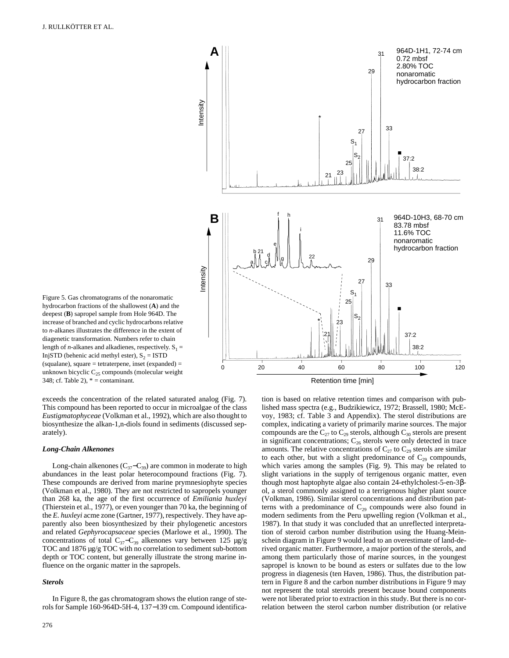Figure 5. Gas chromatograms of the nonaromatic hydrocarbon fractions of the shallowest (**A**) and the deepest (**B**) sapropel sample from Hole 964D. The increase of branched and cyclic hydrocarbons relative to *n*-alkanes illustrates the difference in the extent of diagenetic transformation. Numbers refer to chain

length of *n*-alkanes and alkadienes, respectively.  $S_1 =$ InjSTD (behenic acid methyl ester),  $S_2 = ISTD$ (squalane), square = tetraterpene, inset (expanded) = unknown bicyclic  $C_{25}$  compounds (molecular weight



exceeds the concentration of the related saturated analog (Fig. 7). This compound has been reported to occur in microalgae of the class *Eustigmatophyceae* (Volkman et al., 1992), which are also thought to biosynthesize the alkan-1,n-diols found in sediments (discussed separately).

#### *Long-Chain Alkenones*

348; cf. Table 2),  $* =$  contaminant.

Long-chain alkenones ( $C_{37}-C_{39}$ ) are common in moderate to high abundances in the least polar heterocompound fractions (Fig. 7). These compounds are derived from marine prymnesiophyte species (Volkman et al., 1980). They are not restricted to sapropels younger than 268 ka, the age of the first occurrence of *Emiliania huxleyi* (Thierstein et al., 1977), or even younger than 70 ka, the beginning of the *E. huxleyi* acme zone (Gartner, 1977), respectively. They have apparently also been biosynthesized by their phylogenetic ancestors and related *Gephyrocapsaceae* species (Marlowe et al., 1990). The concentrations of total  $C_{37}-C_{39}$  alkenones vary between 125 µg/g TOC and 1876 µg/g TOC with no correlation to sediment sub-bottom depth or TOC content, but generally illustrate the strong marine influence on the organic matter in the sapropels.

#### *Sterols*

In Figure 8, the gas chromatogram shows the elution range of sterols for Sample 160-964D-5H-4, 137−139 cm. Compound identification is based on relative retention times and comparison with published mass spectra (e.g., Budzikiewicz, 1972; Brassell, 1980; McEvoy, 1983; cf. Table 3 and Appendix). The sterol distributions are complex, indicating a variety of primarily marine sources. The major compounds are the  $C_{27}$  to  $C_{29}$  sterols, although  $C_{30}$  sterols are present in significant concentrations;  $C_{26}$  sterols were only detected in trace amounts. The relative concentrations of  $C_{27}$  to  $C_{29}$  sterols are similar to each other, but with a slight predominance of  $C_{29}$  compounds, which varies among the samples (Fig. 9). This may be related to slight variations in the supply of terrigenous organic matter, even though most haptophyte algae also contain 24-ethylcholest-5-en-3βol, a sterol commonly assigned to a terrigenous higher plant source (Volkman, 1986). Similar sterol concentrations and distribution patterns with a predominance of  $C_{29}$  compounds were also found in modern sediments from the Peru upwelling region (Volkman et al., 1987). In that study it was concluded that an unreflected interpretation of steroid carbon number distribution using the Huang-Meinschein diagram in Figure 9 would lead to an overestimate of land-derived organic matter. Furthermore, a major portion of the sterols, and among them particularly those of marine sources, in the youngest sapropel is known to be bound as esters or sulfates due to the low progress in diagenesis (ten Haven, 1986). Thus, the distribution pattern in Figure 8 and the carbon number distributions in Figure 9 may not represent the total steroids present because bound components were not liberated prior to extraction in this study. But there is no correlation between the sterol carbon number distribution (or relative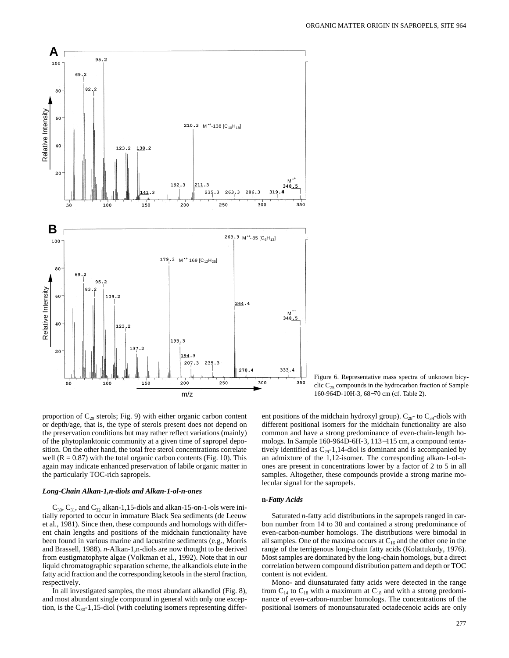

proportion of  $C_{29}$  sterols; Fig. 9) with either organic carbon content or depth/age, that is, the type of sterols present does not depend on the preservation conditions but may rather reflect variations (mainly) of the phytoplanktonic community at a given time of sapropel deposition. On the other hand, the total free sterol concentrations correlate well  $(R = 0.87)$  with the total organic carbon contents (Fig. 10). This again may indicate enhanced preservation of labile organic matter in the particularly TOC-rich sapropels.

#### *Long-Chain Alkan-1,n-diols and Alkan-1-ol-n-ones*

 $C_{30}$ ,  $C_{31}$ , and  $C_{32}$  alkan-1,15-diols and alkan-15-on-1-ols were initially reported to occur in immature Black Sea sediments (de Leeuw et al., 1981). Since then, these compounds and homologs with different chain lengths and positions of the midchain functionality have been found in various marine and lacustrine sediments (e.g., Morris and Brassell, 1988). *n-*Alkan-1,n-diols are now thought to be derived from eustigmatophyte algae (Volkman et al., 1992). Note that in our liquid chromatographic separation scheme, the alkandiols elute in the fatty acid fraction and the corresponding ketools in the sterol fraction, respectively.

In all investigated samples, the most abundant alkandiol (Fig. 8), and most abundant single compound in general with only one exception, is the  $C_{30}$ -1,15-diol (with coeluting isomers representing differ-

Figure 6. Representative mass spectra of unknown bicyclic  $C_{25}$  compounds in the hydrocarbon fraction of Sample 160-964D-10H-3, 68−70 cm (cf. Table 2).

ent positions of the midchain hydroxyl group).  $C_{28}$ - to  $C_{34}$ -diols with different positional isomers for the midchain functionality are also common and have a strong predominance of even-chain-length homologs. In Sample 160-964D-6H-3, 113−115 cm, a compound tentatively identified as  $C_{29}$ -1,14-diol is dominant and is accompanied by an admixture of the 1,12-isomer. The corresponding alkan-1-ol-nones are present in concentrations lower by a factor of 2 to 5 in all samples. Altogether, these compounds provide a strong marine molecular signal for the sapropels.

#### **n***-Fatty Acids*

Saturated *n*-fatty acid distributions in the sapropels ranged in carbon number from 14 to 30 and contained a strong predominance of even-carbon-number homologs. The distributions were bimodal in all samples. One of the maxima occurs at  $C_{16}$  and the other one in the range of the terrigenous long-chain fatty acids (Kolattukudy, 1976). Most samples are dominated by the long-chain homologs, but a direct correlation between compound distribution pattern and depth or TOC content is not evident.

Mono- and diunsaturated fatty acids were detected in the range from  $C_{14}$  to  $C_{18}$  with a maximum at  $C_{18}$  and with a strong predominance of even-carbon-number homologs. The concentrations of the positional isomers of monounsaturated octadecenoic acids are only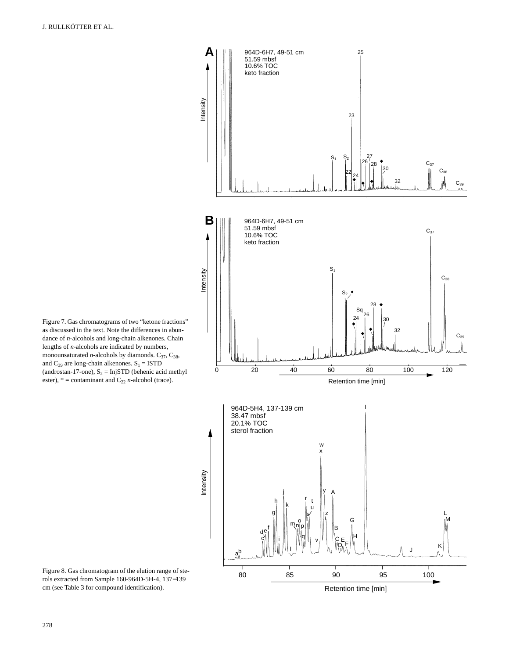Figure 7. Gas chromatograms of two "ketone fractions" as discussed in the text. Note the differences in abundance of *n*-alcohols and long-chain alkenones. Chain lengths of *n*-alcohols are indicated by numbers, monounsaturated *n*-alcohols by diamonds.  $C_{37}$ ,  $C_{38}$ , and  $C_{39}$  are long-chain alkenones.  $S_1 = ISTD$ (androstan-17-one),  $S_2 = InjSTD$  (behenic acid methyl ester),  $* =$  contaminant and  $C_{22}$  *n*-alcohol (trace).



Figure 8. Gas chromatogram of the elution range of sterols extracted from Sample 160-964D-5H-4, 137−139 cm (see Table 3 for compound identification).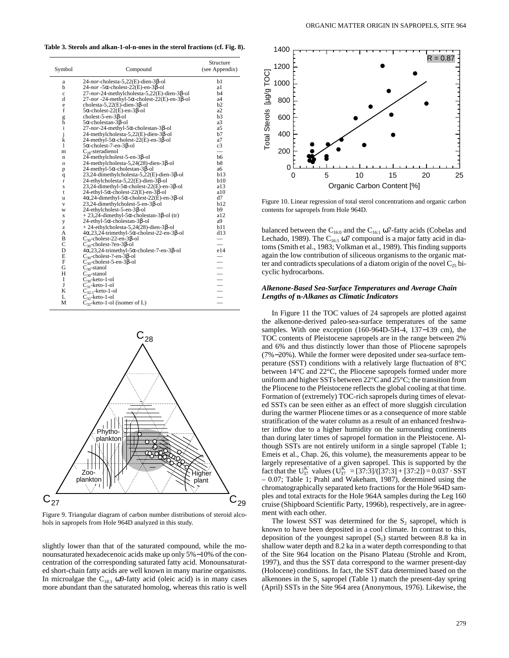**Table 3. Sterols and alkan-1-ol-n-ones in the sterol fractions (cf. Fig. 8).**

| Symbol       | Compound                                                             | Structure<br>(see Appendix) |
|--------------|----------------------------------------------------------------------|-----------------------------|
| a            | $24$ -nor-cholesta-5,22(E)-dien-3 $\beta$ -ol                        | bl                          |
| b            | $24$ -nor -5 $\alpha$ -cholest-22(E)-en-3 $\beta$ -ol                | a1                          |
| $\mathbf c$  | 27-nor-24-methylcholesta-5,22(E)-dien-3β-ol                          | b4                          |
| d            | $27$ -nor -24-methyl-5 $\alpha$ -cholest-22(E)-en-3 $\beta$ -ol      | a4                          |
| e            | cholesta-5,22 $(E)$ -dien-3 $\beta$ -ol                              | b2                          |
| f            | $5\alpha$ -cholest-22(E)-en-3 $\beta$ -ol                            | a <sub>2</sub>              |
| g<br>h       | cholest-5-en-3 $\beta$ -ol                                           | b3                          |
|              | $5\alpha$ -cholestan- $3\beta$ -ol                                   | a3                          |
| i            | $27$ -nor-24-methyl-5 $\alpha$ -cholestan-3 $\beta$ -ol              | a5                          |
| j            | $24$ -methylcholesta-5,22(E)-dien-3 $\beta$ -ol                      | b7                          |
| $\bf k$      | $24$ -methyl-5 $\alpha$ -cholest-22(E)-en-3 $\beta$ -ol              | a7                          |
| 1            | $5\alpha$ -cholest-7-en-3 $\beta$ -ol                                | c3                          |
| m            | $C_{28}$ -steradienol                                                |                             |
| n            | 24-methylcholest-5-en-3ß-ol                                          | b6                          |
| $\mathbf{o}$ | $24$ -methylcholesta-5,24(28)-dien-3 $\beta$ -ol                     | b8                          |
| p            | $24$ -methyl-5 $\alpha$ -cholestan-3 $\beta$ -ol                     | aб                          |
| q            | 23,24-dimethylcholesta-5,22(E)-dien-3β-ol                            | b13                         |
| r            | $24$ -ethylcholesta-5,22(E)-dien-3 $\beta$ -ol                       | b10                         |
| S            | $23,24$ -dimethyl-5 $\alpha$ -cholest-22(E)-en-3 $\beta$ -ol         | a13                         |
| t            | $24$ -ethyl-5 $\alpha$ -cholest-22(E)-en-3 $\beta$ -ol               | a10                         |
| u            | $4\alpha, 24$ -dimethyl-5 $\alpha$ -cholest-22(E)-en-3 $\beta$ -ol   | d7                          |
| $\mathbf V$  | $23,24$ -dimethylcholest-5-en-3 $\beta$ -ol                          | b12                         |
| W            | $24$ -ethylcholest-5-en-3 $\beta$ -ol                                | b9                          |
| x            | $+23,24$ -dimethyl-5 $\alpha$ -cholestan-3 $\beta$ -ol (tr)          | a12                         |
| y            | $24$ -ethyl-5 $\alpha$ -cholestan-3 $\beta$ -ol                      | a9                          |
| z            | $+ 24$ -ethylcholesta-5,24(28)-dien-3 $\beta$ -ol                    | b11                         |
| А            | $4\alpha, 23, 24$ -trimethyl-5 $\alpha$ -cholest-22-en-3 $\beta$ -ol | d13                         |
| B            | $C_{30}$ -cholest-22-en-3 $\beta$ -ol                                |                             |
| C            | $C_{30}$ -cholest-?en-3 $\beta$ -ol                                  | $\equiv$                    |
| D            | $4\alpha, 23, 24$ -trimethyl-5 $\alpha$ -cholest-7-en-3 $\beta$ -ol  | e14                         |
| E            | $C_{30}$ -cholest-?-en-3 $\beta$ -ol                                 |                             |
| F            | $C_{30}$ -cholest-5-en-3 $\beta$ -ol                                 | $\equiv$                    |
| G            | $C_{30}$ -stanol                                                     |                             |
| H            | $C_{30}$ -stanol                                                     | $\equiv$                    |
| I            | $C_{30}$ -keto-1-ol                                                  |                             |
| J            | $C_{31}$ -keto-1-ol                                                  | $\equiv$                    |
| K            | $C_{32:1}$ -keto-1-ol                                                |                             |
| L            | $C_{32}$ -keto-1-ol                                                  |                             |
| М            | $C_{32}$ -keto-1-ol (isomer of L)                                    |                             |



Figure 9. Triangular diagram of carbon number distributions of steroid alcohols in sapropels from Hole 964D analyzed in this study.

slightly lower than that of the saturated compound, while the monounsaturated hexadecenoic acids make up only 5%−10% of the concentration of the corresponding saturated fatty acid. Monounsaturated short-chain fatty acids are well known in many marine organisms. In microalgae the C<sub>18:1</sub> ω9-fatty acid (oleic acid) is in many cases more abundant than the saturated homolog, whereas this ratio is well



Figure 10. Linear regression of total sterol concentrations and organic carbon contents for sapropels from Hole 964D.

balanced between the  $C_{160}$  and the  $C_{161}$  ω7-fatty acids (Cobelas and Lechado, 1989). The  $C_{16:1}$  ω7 compound is a major fatty acid in diatoms (Smith et al., 1983; Volkman et al., 1989). This finding supports again the low contribution of siliceous organisms to the organic matter and contradicts speculations of a diatom origin of the novel  $C_{25}$  bicyclic hydrocarbons.

#### *Alkenone-Based Sea-Surface Temperatures and Average Chain Lengths of* **n***-Alkanes as Climatic Indicators*

In Figure 11 the TOC values of 24 sapropels are plotted against the alkenone-derived paleo-sea-surface temperatures of the same samples. With one exception (160-964D-5H-4, 137−139 cm), the TOC contents of Pleistocene sapropels are in the range between 2% and 6% and thus distinctly lower than those of Pliocene sapropels (7%−20%). While the former were deposited under sea-surface temperature (SST) conditions with a relatively large fluctuation of 8°C between 14°C and 22°C, the Pliocene sapropels formed under more uniform and higher SSTs between 22°C and 25°C; the transition from the Pliocene to the Pleistocene reflects the global cooling at that time. Formation of (extremely) TOC-rich sapropels during times of elevated SSTs can be seen either as an effect of more sluggish circulation during the warmer Pliocene times or as a consequence of more stable stratification of the water column as a result of an enhanced freshwater inflow due to a higher humidity on the surrounding continents than during later times of sapropel formation in the Pleistocene. Although SSTs are not entirely uniform in a single sapropel (Table 1; Emeis et al., Chap. 26, this volume), the measurements appear to be largely representative of a given sapropel. This is supported by the fact that the U<sub>37</sub>' values (U<sub>37</sub>' = [37:3]/([37:3] + [37:2]) = 0.037 · SST – 0.07; Table 1; Prahl and Wakeham, 1987), determined using the chromatographically separated keto fractions for the Hole 964D samples and total extracts for the Hole 964A samples during the Leg 160 cruise (Shipboard Scientific Party, 1996b), respectively, are in agreement with each other.

The lowest SST was determined for the  $S<sub>2</sub>$  sapropel, which is known to have been deposited in a cool climate. In contrast to this, deposition of the youngest sapropel  $(S_1)$  started between 8.8 ka in shallow water depth and 8.2 ka in a water depth corresponding to that of the Site 964 location on the Pisano Plateau (Strohle and Krom, 1997), and thus the SST data correspond to the warmer present-day (Holocene) conditions. In fact, the SST data determined based on the alkenones in the  $S_1$  sapropel (Table 1) match the present-day spring (April) SSTs in the Site 964 area (Anonymous, 1976). Likewise, the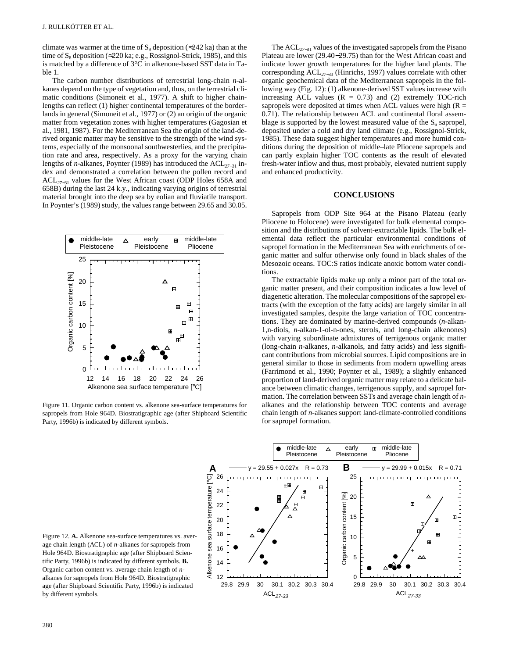climate was warmer at the time of  $S_9$  deposition (≈242 ka) than at the time of  $S_8$  deposition (≈220 ka; e.g., Rossignol-Strick, 1985), and this is matched by a difference of 3°C in alkenone-based SST data in Table 1.

The carbon number distributions of terrestrial long-chain *n*-alkanes depend on the type of vegetation and, thus, on the terrestrial climatic conditions (Simoneit et al., 1977). A shift to higher chainlengths can reflect (1) higher continental temperatures of the borderlands in general (Simoneit et al., 1977) or (2) an origin of the organic matter from vegetation zones with higher temperatures (Gagosian et al., 1981, 1987). For the Mediterranean Sea the origin of the land-derived organic matter may be sensitive to the strength of the wind systems, especially of the monsoonal southwesterlies, and the precipitation rate and area, respectively. As a proxy for the varying chain lengths of *n*-alkanes, Poynter (1989) has introduced the ACL*27*−31 index and demonstrated a correlation between the pollen record and ACL*<sup>27</sup>*−31 values for the West African coast (ODP Holes 658A and 658B) during the last 24 k.y., indicating varying origins of terrestrial material brought into the deep sea by eolian and fluviatile transport. In Poynter's (1989) study, the values range between 29.65 and 30.05.



Figure 11. Organic carbon content vs. alkenone sea-surface temperatures for sapropels from Hole 964D. Biostratigraphic age (after Shipboard Scientific Party, 1996b) is indicated by different symbols.

The ACL*<sup>27</sup>*−31 values of the investigated sapropels from the Pisano Plateau are lower (29.40−29.75) than for the West African coast and indicate lower growth temperatures for the higher land plants. The corresponding ACL*<sup>27</sup>*−33 (Hinrichs, 1997) values correlate with other organic geochemical data of the Mediterranean sapropels in the following way (Fig. 12): (1) alkenone-derived SST values increase with increasing ACL values  $(R = 0.73)$  and  $(2)$  extremely TOC-rich sapropels were deposited at times when ACL values were high  $(R =$ 0.71). The relationship between ACL and continental floral assemblage is supported by the lowest measured value of the  $S<sub>6</sub>$  sapropel, deposited under a cold and dry land climate (e.g., Rossignol-Strick, 1985). These data suggest higher temperatures and more humid conditions during the deposition of middle–late Pliocene sapropels and can partly explain higher TOC contents as the result of elevated fresh-water inflow and thus, most probably, elevated nutrient supply and enhanced productivity.

# **CONCLUSIONS**

Sapropels from ODP Site 964 at the Pisano Plateau (early Pliocene to Holocene) were investigated for bulk elemental composition and the distributions of solvent-extractable lipids. The bulk elemental data reflect the particular environmental conditions of sapropel formation in the Mediterranean Sea with enrichments of organic matter and sulfur otherwise only found in black shales of the Mesozoic oceans. TOC:S ratios indicate anoxic bottom water conditions.

The extractable lipids make up only a minor part of the total organic matter present, and their composition indicates a low level of diagenetic alteration. The molecular compositions of the sapropel extracts (with the exception of the fatty acids) are largely similar in all investigated samples, despite the large variation of TOC concentrations. They are dominated by marine-derived compounds (*n*-alkan-1,n-diols, *n*-alkan-1-ol-n-ones, sterols, and long-chain alkenones) with varying subordinate admixtures of terrigenous organic matter (long-chain *n*-alkanes, *n*-alkanols, and fatty acids) and less significant contributions from microbial sources. Lipid compositions are in general similar to those in sediments from modern upwelling areas (Farrimond et al., 1990; Poynter et al., 1989); a slightly enhanced proportion of land-derived organic matter may relate to a delicate balance between climatic changes, terrigenous supply, and sapropel formation. The correlation between SSTs and average chain length of *n*alkanes and the relationship between TOC contents and average chain length of *n*-alkanes support land-climate-controlled conditions for sapropel formation.



Figure 12. **A.** Alkenone sea-surface temperatures vs. average chain length (ACL) of *n*-alkanes for sapropels from Hole 964D. Biostratigraphic age (after Shipboard Scientific Party, 1996b) is indicated by different symbols. **B.** Organic carbon content vs. average chain length of *n*alkanes for sapropels from Hole 964D. Biostratigraphic age (after Shipboard Scientific Party, 1996b) is indicated by different symbols.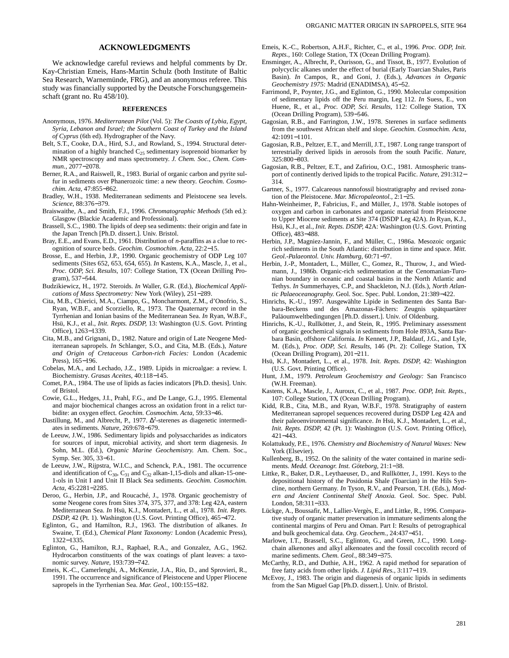#### **ACKNOWLEDGMENTS**

We acknowledge careful reviews and helpful comments by Dr. Kay-Christian Emeis, Hans-Martin Schulz (both Institute of Baltic Sea Research, Warnemünde, FRG), and an anonymous referee. This study was financially supported by the Deutsche Forschungsgemeinschaft (grant no. Ru 458/10).

#### **REFERENCES**

- Anonymous, 1976. *Mediterranean Pilot* (Vol. 5): *The Coasts of Lybia, Egypt, Syria, Lebanon and Israel; the Southern Coast of Turkey and the Island of Cyprus* (6th ed). Hydrographer of the Navy.
- Belt, S.T., Cooke, D.A., Hird, S.J., and Rowland, S., 1994. Structural determination of a highly branched  $C_{25}$  sedimentary isoprenoid biomarker by NMR spectroscopy and mass spectrometry. *J. Chem. Soc., Chem. Commun.,* 2077−2078.
- Berner, R.A., and Raiswell, R., 1983. Burial of organic carbon and pyrite sulfur in sediments over Phanerozoic time: a new theory. *Geochim. Cosmochim. Acta,* 47:855−862.
- Bradley, W.H., 1938. Mediterranean sediments and Pleistocene sea levels. *Science,* 88:376−379.
- Braiswaithe, A., and Smith, F.J., 1996. *Chromatographic Methods* (5th ed.): Glasgow (Blackie Academic and Professional).
- Brassell, S.C., 1980. The lipids of deep sea sediments: their origin and fate in the Japan Trench [Ph.D. dissert.]. Univ. Bristol.
- Bray, E.E., and Evans, E.D., 1961. Distribution of *n*-paraffins as a clue to recognition of source beds. *Geochim. Cosmochim. Acta,* 22:2−15.
- Brosse, E., and Herbin, J.P., 1990. Organic geochemistry of ODP Leg 107 sediments (Sites 652, 653, 654, 655). *In* Kastens, K.A., Mascle, J., et al., *Proc. ODP, Sci. Results,* 107: College Station, TX (Ocean Drilling Program), 537−544.
- Budzikiewicz, H., 1972. Steroids. *In* Waller, G.R. (Ed.), *Biochemical Applications of Mass Spectrometry:* New York (Wiley), 251−289.
- Cita, M.B., Chierici, M.A., Ciampo, G., Moncharmont, Z.M., d'Onofrio, S., Ryan, W.B.F., and Scorziello, R., 1973. The Quaternary record in the Tyrrhenian and Ionian basins of the Mediterranean Sea. *In* Ryan, W.B.F., Hsü, K.J., et al., *Init. Repts. DSDP,* 13: Washington (U.S. Govt. Printing Office), 1263−1339.
- Cita, M.B., and Grignani, D., 1982. Nature and origin of Late Neogene Mediterranean sapropels. *In* Schlanger, S.O., and Cita, M.B. (Eds.), *Nature and Origin of Cretaceous Carbon-rich Facies:* London (Academic Press), 165−196.
- Cobelas, M.A., and Lechado, J.Z., 1989. Lipids in microalgae: a review. I. Biochemistry. *Grasas Aceites,* 40:118−145.
- Comet, P.A., 1984. The use of lipids as facies indicators [Ph.D. thesis]. Univ. of Bristol.
- Cowie, G.L., Hedges, J.I., Prahl, F.G., and De Lange, G.J., 1995. Elemental and major biochemical changes across an oxidation front in a relict turbidite: an oxygen effect. *Geochim. Cosmochim. Acta,* 59:33−46.
- Dastillung, M., and Albrecht, P., 1977.  $\Delta^2$ -sterenes as diagenetic intermediates in sediments. *Nature,* 269:678−679.
- de Leeuw, J.W., 1986. Sedimentary lipids and polysaccharides as indicators for sources of input, microbial activity, and short term diagenesis. *In* Sohn, M.L. (Ed.), *Organic Marine Geochemistry.* Am. Chem. Soc., Symp. Ser. 305, 33−61.
- de Leeuw, J.W., Rijpstra, W.I.C., and Schenck, P.A., 1981. The occurrence and identification of  $C_{30}$ ,  $C_{31}$  and  $C_{32}$  alkan-1,15-diols and alkan-15-one-1-ols in Unit I and Unit II Black Sea sediments. *Geochim. Cosmochim. Acta,* 45:2281−2285.
- Deroo, G., Herbin, J.P., and Roucaché, J., 1978. Organic geochemistry of some Neogene cores from Sites 374, 375, 377, and 378: Leg 42A, eastern Mediterranean Sea. *In* Hsü, K.J., Montadert, L., et al., 1978. *Init. Repts. DSDP,* 42 (Pt. 1). Washington (U.S. Govt. Printing Office), 465−472.
- Eglinton, G., and Hamilton, R.J., 1963. The distribution of alkanes. *In* Swaine, T. (Ed.), *Chemical Plant Taxonomy:* London (Academic Press), 1322−1335.
- Eglinton, G., Hamilton, R.J., Raphael, R.A., and Gonzalez, A.G., 1962. Hydrocarbon constituents of the wax coatings of plant leaves: a taxonomic survey. *Nature,* 193:739−742.
- Emeis, K.-C., Camerlenghi, A., McKenzie, J.A., Rio, D., and Sprovieri, R., 1991. The occurrence and significance of Pleistocene and Upper Pliocene sapropels in the Tyrrhenian Sea. *Mar. Geol.,* 100:155−182.
- Emeis, K.-C., Robertson, A.H.F., Richter, C., et al., 1996. *Proc. ODP, Init. Repts.,* 160: College Station, TX (Ocean Drilling Program).
- Ensminger, A., Albrecht, P., Ourisson, G., and Tissot, B., 1977. Evolution of polycyclic alkanes under the effect of burial (Early Toarcian Shales, Paris Basin). *In* Campos, R., and Goni, J. (Eds.), *Advances in Organic Geochemistry 1975:* Madrid (ENADIMSA), 45−52.
- Farrimond, P., Poynter, J.G., and Eglinton, G., 1990. Molecular composition of sedimentary lipids off the Peru margin, Leg 112. *In* Suess, E., von Huene, R., et al., *Proc. ODP, Sci. Results,* 112: College Station, TX (Ocean Drilling Program), 539−546.
- Gagosian, R.B., and Farrington, J.W., 1978. Sterenes in surface sediments from the southwest African shelf and slope. *Geochim. Cosmochim. Acta,* 42:1091−1101.
- Gagosian, R.B., Peltzer, E.T., and Merrill, J.T., 1987. Long range transport of terrestrially derived lipids in aerosols from the south Pacific. *Nature,* 325:800−803.
- Gagosian, R.B., Peltzer, E.T., and Zafiriou, O.C., 1981. Atmospheric transport of continently derived lipids to the tropical Pacific. *Nature,* 291:312− 314.
- Gartner, S., 1977. Calcareous nannofossil biostratigraphy and revised zonation of the Pleistocene. *Mar. Micropaleontol.,* 2:1−25.
- Hahn-Weinheimer, P., Fabricius, F., and Müller, J., 1978. Stable isotopes of oxygen and carbon in carbonates and organic material from Pleistocene to Upper Miocene sediments at Site 374 (DSDP Leg 42A). *In* Ryan, K.J., Hsü, K.J., et al., *Init. Repts. DSDP,* 42A: Washington (U.S. Govt. Printing Office), 483−488.
- Herbin, J.P., Magniez-Jannin, F., and Müller, C., 1986a. Mesozoic organic rich sediments in the South Atlantic: distribution in time and space. *Mitt. Geol.-Palaeontol. Univ. Hamburg,* 60:71−97.
- Herbin, J.-P., Montadert, L., Müller, C., Gomez, R., Thurow, J., and Wiedmann, J., 1986b. Organic-rich sedimentation at the Cenomanian-Turonian boundary in oceanic and coastal basins in the North Atlantic and Tethys. *In* Summerhayes, C.P., and Shackleton, N.J. (Eds.), *North Atlantic Palaeoceanography.* Geol. Soc. Spec. Publ. London, 21:389−422.
- Hinrichs, K.-U., 1997. Ausgewählte Lipide in Sedimenten des Santa Barbara-Beckens und des Amazonas-Fächers: Zeugnis spätquartärer Paläoumweltbedingungen [Ph.D. dissert.]. Univ. of Oldenburg.
- Hinrichs, K.-U., Rullkötter, J., and Stein, R., 1995. Preliminary assessment of organic geochemical signals in sediments from Hole 893A, Santa Barbara Basin, offshore California. *In* Kennett, J.P., Baldauf, J.G., and Lyle, M. (Eds.), *Proc. ODP, Sci. Results,* 146 (Pt. 2): College Station, TX (Ocean Drilling Program), 201−211.
- Hsü, K.J., Montadert, L., et al., 1978. *Init. Repts. DSDP,* 42: Washington (U.S. Govt. Printing Office).
- Hunt, J.M., 1979. *Petroleum Geochemistry and Geology:* San Francisco (W.H. Freeman).
- Kastens, K.A., Mascle, J., Auroux, C., et al., 1987. *Proc. ODP, Init. Repts.,* 107: College Station, TX (Ocean Drilling Program).
- Kidd, R.B., Cita, M.B., and Ryan, W.B.F., 1978. Stratigraphy of eastern Mediterranean sapropel sequences recovered during DSDP Leg 42A and their paleoenvironmental significance. *In* Hsü, K.J., Montadert, L., et al., *Init. Repts. DSDP,* 42 (Pt. 1): Washington (U.S. Govt. Printing Office), 421−443.
- Kolattukudy, P.E., 1976. *Chemistry and Biochemistry of Natural Waxes:* New York (Elsevier).
- Kullenberg, B., 1952. On the salinity of the water contained in marine sediments. *Medd. Oceanogr. Inst. Göteborg,* 21:1−38.
- Littke, R., Baker, D.R., Leythaeuser, D., and Rullkötter, J., 1991. Keys to the depositional history of the Posidonia Shale (Toarcian) in the Hils Syncline, northern Germany. *In* Tyson, R.V., and Pearson, T.H. (Eds.), *Modern and Ancient Continental Shelf Anoxia.* Geol. Soc. Spec. Publ. London, 58:311−333.
- Lückge, A., Boussafir, M., Lallier-Vergès, E., and Littke, R., 1996. Comparative study of organic matter preservation in immature sediments along the continental margins of Peru and Oman. Part I: Results of petrographical and bulk geochemical data. *Org. Geochem.,* 24:437−451.
- Marlowe, I.T., Brassell, S.C., Eglinton, G., and Green, J.C., 1990. Longchain alkenones and alkyl alkenoates and the fossil coccolith record of marine sediments. *Chem. Geol.,* 88:349−375.
- McCarthy, R.D., and Duthie, A.H., 1962. A rapid method for separation of free fatty acids from other lipids. *J. Lipid Res.,* 3:117−119.
- McEvoy, J., 1983. The origin and diagenesis of organic lipids in sediments from the San Miguel Gap [Ph.D. dissert.]. Univ. of Bristol.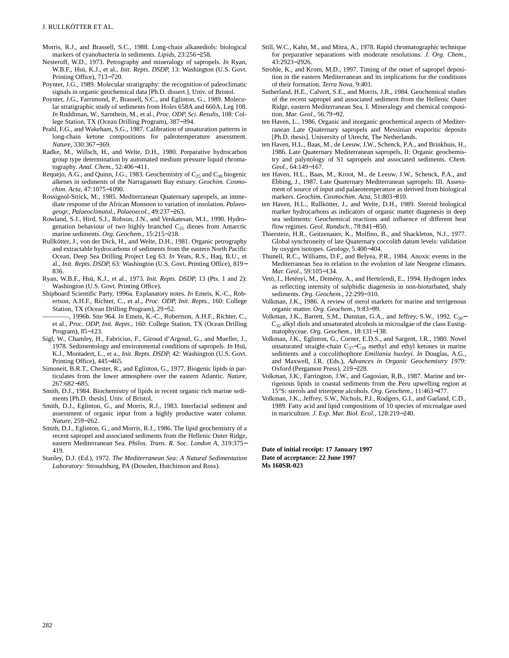- Morris, R.J., and Brassell, S.C., 1988. Long-chain alkanediols: biological markers of cyanobacteria in sediments. *Lipids,* 23:256−258.
- Nesteroff, W.D., 1973. Petrography and mineralogy of sapropels. *In* Ryan, W.B.F., Hsü, K.J., et al., *Init. Repts. DSDP,* 13: Washington (U.S. Govt. Printing Office), 713−720.
- Poynter, J.G., 1989. Molecular stratigraphy: the recognition of paleoclimatic signals in organic geochemical data [Ph.D. dissert.]. Univ. of Bristol.
- Poynter, J.G., Farrimond, P., Brassell, S.C., and Eglinton, G., 1989. Molecular stratigraphic study of sediments from Holes 658A and 660A, Leg 108. *In* Ruddiman, W., Sarnthein, M., et al., *Proc. ODP, Sci. Results,* 108: College Station, TX (Ocean Drilling Program), 387−394.
- Prahl, F.G., and Wakeham, S.G., 1987. Calibration of unsaturation patterns in long-chain ketone compositions for paleotemperature assessment. *Nature,* 330:367−369.
- Radke, M., Willsch, H., and Welte, D.H., 1980. Preparative hydrocarbon group type determination by automated medium pressure liquid chromatography. *Anal. Chem.,* 52:406−411.
- Requejo, A.G., and Quinn, J.G., 1983. Geochemistry of  $C_{25}$  and  $C_{30}$  biogenic alkenes in sediments of the Narragansett Bay estuary. *Geochim. Cosmochim. Acta,* 47:1075−1090.
- Rossignol-Strick, M., 1985. Mediterranean Quaternary sapropels, an immediate response of the African Monsoon to variation of insolation. *Palaeogeogr., Palaeoclimatol., Palaeoecol.,* 49:237−263.
- Rowland, S.J., Hird, S.J., Robson, J.N., and Venkatesan, M.I., 1990. Hydrogenation behaviour of two highly branched  $C_{25}$  dienes from Antarctic marine sediments. *Org. Geochem.,* 15:215−218.
- Rullkötter, J., von der Dick, H., and Welte, D.H., 1981. Organic petrography and extractable hydrocarbons of sediments from the eastern North Pacific Ocean, Deep Sea Drilling Project Leg 63. *In* Yeats, R.S., Haq, B.U., et al., *Init. Repts. DSDP,* 63: Washington (U.S. Govt. Printing Office), 819− 836.
- Ryan, W.B.F., Hsü, K.J., et al., 1973. *Init. Repts. DSDP,* 13 (Pts. 1 and 2): Washington (U.S. Govt. Printing Office).
- Shipboard Scientific Party, 1996a. Explanatory notes. *In* Emeis, K.-C., Robertson, A.H.F., Richter, C., et al., *Proc. ODP, Init. Repts.,* 160: College Station, TX (Ocean Drilling Program), 29−52.
- ————, 1996b. Site 964. *In* Emeis, K.-C., Robertson, A.H.F., Richter, C., et al., *Proc. ODP, Init. Repts.,* 160: College Station, TX (Ocean Drilling Program), 85−123.
- Sigl, W., Chamley, H., Fabricius, F., Giroud d'Argoud, G., and Mueller, J., 1978. Sedimentology and environmental conditions of sapropels. *In* Hsü, K.J., Montadert, L., et a., *Init. Repts. DSDP,* 42: Washington (U.S. Govt. Printing Office), 445−465.
- Simoneit, B.R.T., Chester, R., and Eglinton, G., 1977. Biogenic lipids in particulates from the lower atmosphere over the eastern Atlantic. *Nature,* 267:682−685.
- Smith, D.J., 1984. Biochemistry of lipids in recent organic rich marine sediments [Ph.D. thesis]. Univ. of Bristol.
- Smith, D.J., Eglinton, G., and Morris, R.J., 1983. Interfacial sediment and assessment of organic input from a highly productive water column. *Nature,* 259−262.
- Smith, D.J., Eglinton, G., and Morris, R.J., 1986. The lipid geochemistry of a recent sapropel and associated sediments from the Hellenic Outer Ridge, eastern Mediterranean Sea. *Philos. Trans. R. Soc. London A,* 319:375− 419.
- Stanley, D.J. (Ed.), 1972. *The Mediterranean Sea: A Natural Sedimentation Laboratory:* Stroudsburg, PA (Dowden, Hutchinson and Ross).
- Still, W.C., Kahn, M., and Mitra, A., 1978. Rapid chromatographic technique for preparative separations with moderate resolutions. *J. Org. Chem.,* 43:2923−2926.
- Strohle, K., and Krom, M.D., 1997. Timing of the onset of sapropel deposition in the eastern Mediterranean and its implications for the conditions of their formation. *Terra Nova,* 9:401.
- Sutherland, H.E., Calvert, S.E., and Morris, J.R., 1984. Geochemical studies of the recent sapropel and associated sediment from the Hellenic Outer Ridge, eastern Mediterranean Sea, I. Mineralogy and chemical composition. *Mar. Geol.,* 56:79−92.
- ten Haven, L., 1986. Organic and inorganic geochemical aspects of Mediterranean Late Quaternary sapropels and Messinian evaporitic deposits [Ph.D. thesis]. University of Utrecht, The Netherlands.
- ten Haven, H.L., Baas, M., de Leeuw, J.W., Schenck, P.A., and Brinkhuis, H., 1986. Late Quaternary Mediterranean sapropels, II: Organic geochemistry and palynology of S1 sapropels and associated sediments. *Chem. Geol.,* 64:149−167.
- ten Haven, H.L., Baas, M., Kroot, M., de Leeuw, J.W., Schenck, P.A., and Ebbing, J., 1987. Late Quaternary Mediterranean sapropels: III. Assessment of source of input and palaeotemperature as derived from biological markers. *Geochim. Cosmochim. Acta,* 51:803−810.
- ten Haven, H.L., Rullkötter, J., and Welte, D.H., 1989. Steroid biological marker hydrocarbons as indicators of organic matter diagenesis in deep sea sediments: Geochemical reactions and influence of different heat flow regimes. *Geol. Rundsch.,* 78:841−850.
- Thierstein, H.R., Geitzenauer, K., Molfino, B., and Shackleton, N.J., 1977. Global synchroneity of late Quaternary coccolith datum levels: validation by oxygen isotopes. *Geology,* 5:400−404.
- Thunell, R.C., Williams, D.F., and Belyea, P.R., 1984. Anoxic events in the Mediterranean Sea in relation to the evolution of late Neogene climates. *Mar. Geol.,* 59:105−134.
- Vetö, I., Hetényi, M., Demény, A., and Hertelendi, E., 1994. Hydrogen index as reflecting intensity of sulphidic diagenesis in non-bioturbated, shaly sediments. *Org. Geochem.,* 22:299−310.
- Volkman, J.K., 1986. A review of sterol markers for marine and terrigenous organic matter. *Org. Geochem.,* 9:83−99.
- Volkman, J.K., Barrett, S.M., Dunstan, G.A., and Jeffrey, S.W., 1992.  $C_{30}$   $C_{32}$  alkyl diols and unsaturated alcohols in microalgae of the class Eustigmatophyceae. *Org. Geochem.,* 18:131−138.
- Volkman, J.K., Eglinton, G., Corner, E.D.S., and Sargent, J.R., 1980. Novel unsaturated straight-chain  $C_{37}-C_{39}$  methyl and ethyl ketones in marine sediments and a coccolithophore *Emiliania huxleyi. In* Douglas, A.G., and Maxwell, J.R. (Eds.), *Advances in Organic Geochemistry 1979:* Oxford (Pergamon Press), 219−228.
- Volkman, J.K., Farrington, J.W., and Gagosian, R.B., 1987. Marine and terrigenous lipids in coastal sediments from the Peru upwelling region at 15°S: sterols and triterpene alcohols. *Org. Geochem.,* 11:463−477.
- Volkman, J.K., Jeffrey, S.W., Nichols, P.J., Rodgers, G.I., and Garland, C.D., 1989. Fatty acid and lipid compositions of 10 species of microalgae used in mariculture*. J. Exp. Mar. Biol. Ecol.,* 128:219−240.

**Date of initial receipt: 17 January 1997 Date of acceptance: 22 June 1997 Ms 160SR-023**